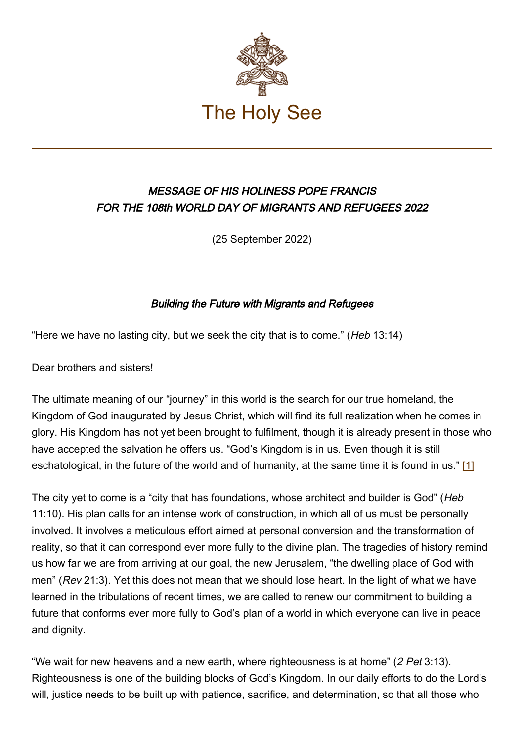

## MESSAGE OF HIS HOLINESS POPE FRANCIS FOR THE 108th WORLD DAY OF MIGRANTS AND REFUGEES 2022

(25 September 2022)

## Building the Future with Migrants and Refugees

"Here we have no lasting city, but we seek the city that is to come." (Heb 13:14)

Dear brothers and sisters!

The ultimate meaning of our "journey" in this world is the search for our true homeland, the Kingdom of God inaugurated by Jesus Christ, which will find its full realization when he comes in glory. His Kingdom has not yet been brought to fulfilment, though it is already present in those who have accepted the salvation he offers us. "God's Kingdom is in us. Even though it is still eschatological, in the future of the world and of humanity, at the same time it is found in us." [1]

The city yet to come is a "city that has foundations, whose architect and builder is God" (Heb 11:10). His plan calls for an intense work of construction, in which all of us must be personally involved. It involves a meticulous effort aimed at personal conversion and the transformation of reality, so that it can correspond ever more fully to the divine plan. The tragedies of history remind us how far we are from arriving at our goal, the new Jerusalem, "the dwelling place of God with men" (Rev 21:3). Yet this does not mean that we should lose heart. In the light of what we have learned in the tribulations of recent times, we are called to renew our commitment to building a future that conforms ever more fully to God's plan of a world in which everyone can live in peace and dignity.

"We wait for new heavens and a new earth, where righteousness is at home" (2 Pet 3:13). Righteousness is one of the building blocks of God's Kingdom. In our daily efforts to do the Lord's will, justice needs to be built up with patience, sacrifice, and determination, so that all those who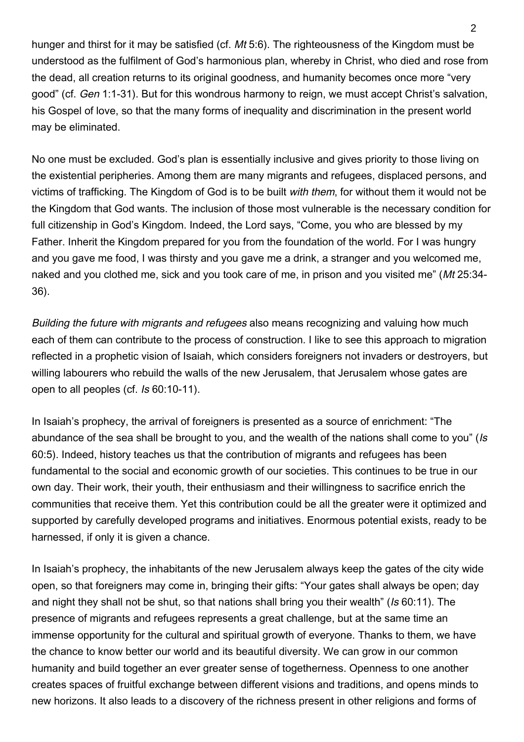hunger and thirst for it may be satisfied (cf. Mt 5:6). The righteousness of the Kingdom must be understood as the fulfilment of God's harmonious plan, whereby in Christ, who died and rose from the dead, all creation returns to its original goodness, and humanity becomes once more "very good" (cf. Gen 1:1-31). But for this wondrous harmony to reign, we must accept Christ's salvation, his Gospel of love, so that the many forms of inequality and discrimination in the present world may be eliminated.

No one must be excluded. God's plan is essentially inclusive and gives priority to those living on the existential peripheries. Among them are many migrants and refugees, displaced persons, and victims of trafficking. The Kingdom of God is to be built with them, for without them it would not be the Kingdom that God wants. The inclusion of those most vulnerable is the necessary condition for full citizenship in God's Kingdom. Indeed, the Lord says, "Come, you who are blessed by my Father. Inherit the Kingdom prepared for you from the foundation of the world. For I was hungry and you gave me food, I was thirsty and you gave me a drink, a stranger and you welcomed me, naked and you clothed me, sick and you took care of me, in prison and you visited me" (Mt 25:34- 36).

Building the future with migrants and refugees also means recognizing and valuing how much each of them can contribute to the process of construction. I like to see this approach to migration reflected in a prophetic vision of Isaiah, which considers foreigners not invaders or destroyers, but willing labourers who rebuild the walls of the new Jerusalem, that Jerusalem whose gates are open to all peoples (cf. Is 60:10-11).

In Isaiah's prophecy, the arrival of foreigners is presented as a source of enrichment: "The abundance of the sea shall be brought to you, and the wealth of the nations shall come to you" (Is 60:5). Indeed, history teaches us that the contribution of migrants and refugees has been fundamental to the social and economic growth of our societies. This continues to be true in our own day. Their work, their youth, their enthusiasm and their willingness to sacrifice enrich the communities that receive them. Yet this contribution could be all the greater were it optimized and supported by carefully developed programs and initiatives. Enormous potential exists, ready to be harnessed, if only it is given a chance.

In Isaiah's prophecy, the inhabitants of the new Jerusalem always keep the gates of the city wide open, so that foreigners may come in, bringing their gifts: "Your gates shall always be open; day and night they shall not be shut, so that nations shall bring you their wealth" (Is 60:11). The presence of migrants and refugees represents a great challenge, but at the same time an immense opportunity for the cultural and spiritual growth of everyone. Thanks to them, we have the chance to know better our world and its beautiful diversity. We can grow in our common humanity and build together an ever greater sense of togetherness. Openness to one another creates spaces of fruitful exchange between different visions and traditions, and opens minds to new horizons. It also leads to a discovery of the richness present in other religions and forms of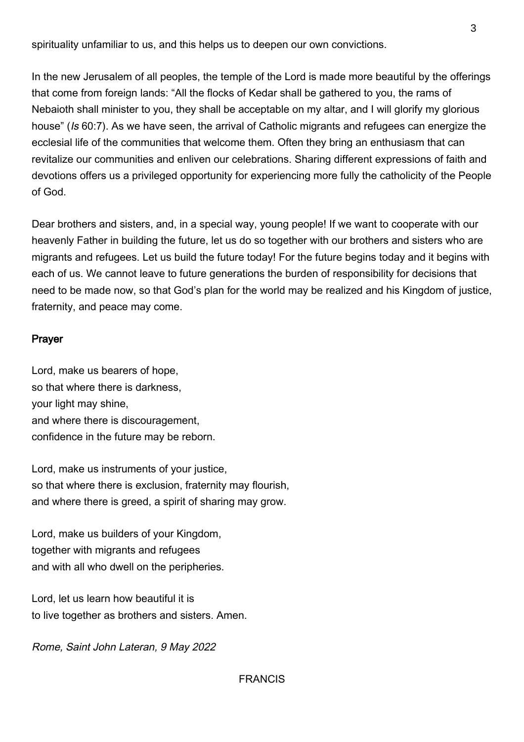spirituality unfamiliar to us, and this helps us to deepen our own convictions.

In the new Jerusalem of all peoples, the temple of the Lord is made more beautiful by the offerings that come from foreign lands: "All the flocks of Kedar shall be gathered to you, the rams of Nebaioth shall minister to you, they shall be acceptable on my altar, and I will glorify my glorious house" (Is 60:7). As we have seen, the arrival of Catholic migrants and refugees can energize the ecclesial life of the communities that welcome them. Often they bring an enthusiasm that can revitalize our communities and enliven our celebrations. Sharing different expressions of faith and devotions offers us a privileged opportunity for experiencing more fully the catholicity of the People of God.

Dear brothers and sisters, and, in a special way, young people! If we want to cooperate with our heavenly Father in building the future, let us do so together with our brothers and sisters who are migrants and refugees. Let us build the future today! For the future begins today and it begins with each of us. We cannot leave to future generations the burden of responsibility for decisions that need to be made now, so that God's plan for the world may be realized and his Kingdom of justice, fraternity, and peace may come.

## Prayer

Lord, make us bearers of hope, so that where there is darkness, your light may shine, and where there is discouragement, confidence in the future may be reborn.

Lord, make us instruments of your justice, so that where there is exclusion, fraternity may flourish, and where there is greed, a spirit of sharing may grow.

Lord, make us builders of your Kingdom, together with migrants and refugees and with all who dwell on the peripheries.

Lord, let us learn how beautiful it is to live together as brothers and sisters. Amen.

Rome, Saint John Lateran, 9 May 2022

## FRANCIS